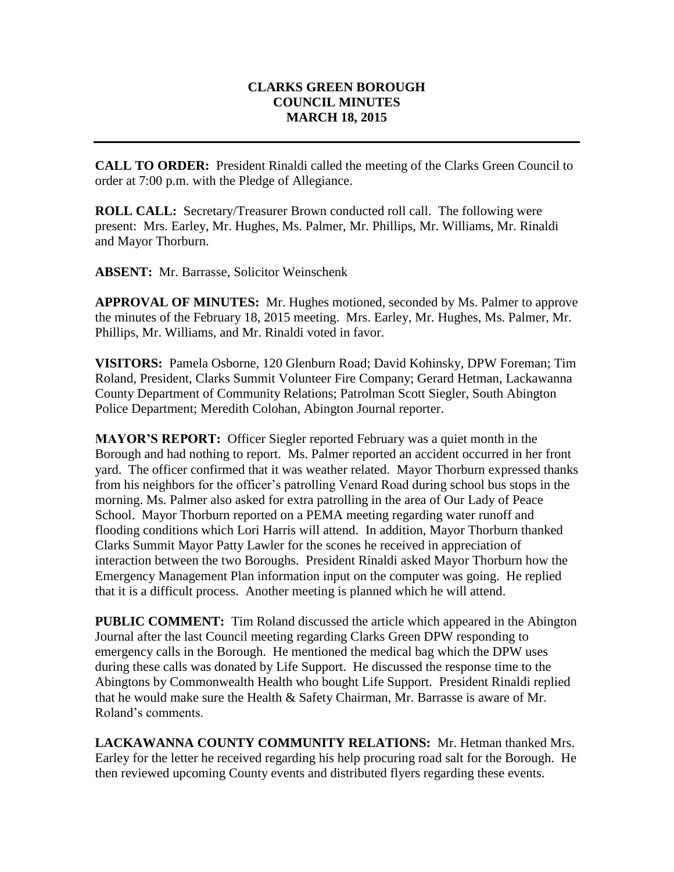## **CLARKS GREEN BOROUGH COUNCIL MINUTES MARCH 18, 2015**

**CALL TO ORDER:** President Rinaldi called the meeting of the Clarks Green Council to order at 7:00 p.m. with the Pledge of Allegiance.

**ROLL CALL:** Secretary/Treasurer Brown conducted roll call. The following were present: Mrs. Earley, Mr. Hughes, Ms. Palmer, Mr. Phillips, Mr. Williams, Mr. Rinaldi and Mayor Thorburn.

**ABSENT:** Mr. Barrasse, Solicitor Weinschenk

**APPROVAL OF MINUTES:** Mr. Hughes motioned, seconded by Ms. Palmer to approve the minutes of the February 18, 2015 meeting. Mrs. Earley, Mr. Hughes, Ms. Palmer, Mr. Phillips, Mr. Williams, and Mr. Rinaldi voted in favor.

**VISITORS:** Pamela Osborne, 120 Glenburn Road; David Kohinsky, DPW Foreman; Tim Roland, President, Clarks Summit Volunteer Fire Company; Gerard Hetman, Lackawanna County Department of Community Relations; Patrolman Scott Siegler, South Abington Police Department; Meredith Colohan, Abington Journal reporter.

**MAYOR'S REPORT:** Officer Siegler reported February was a quiet month in the Borough and had nothing to report. Ms. Palmer reported an accident occurred in her front yard. The officer confirmed that it was weather related. Mayor Thorburn expressed thanks from his neighbors for the officer's patrolling Venard Road during school bus stops in the morning. Ms. Palmer also asked for extra patrolling in the area of Our Lady of Peace School. Mayor Thorburn reported on a PEMA meeting regarding water runoff and flooding conditions which Lori Harris will attend. In addition, Mayor Thorburn thanked Clarks Summit Mayor Patty Lawler for the scones he received in appreciation of interaction between the two Boroughs. President Rinaldi asked Mayor Thorburn how the Emergency Management Plan information input on the computer was going. He replied that it is a difficult process. Another meeting is planned which he will attend.

**PUBLIC COMMENT:** Tim Roland discussed the article which appeared in the Abington Journal after the last Council meeting regarding Clarks Green DPW responding to emergency calls in the Borough. He mentioned the medical bag which the DPW uses during these calls was donated by Life Support. He discussed the response time to the Abingtons by Commonwealth Health who bought Life Support. President Rinaldi replied that he would make sure the Health & Safety Chairman, Mr. Barrasse is aware of Mr. Roland's comments.

**LACKAWANNA COUNTY COMMUNITY RELATIONS:** Mr. Hetman thanked Mrs. Earley for the letter he received regarding his help procuring road salt for the Borough. He then reviewed upcoming County events and distributed flyers regarding these events.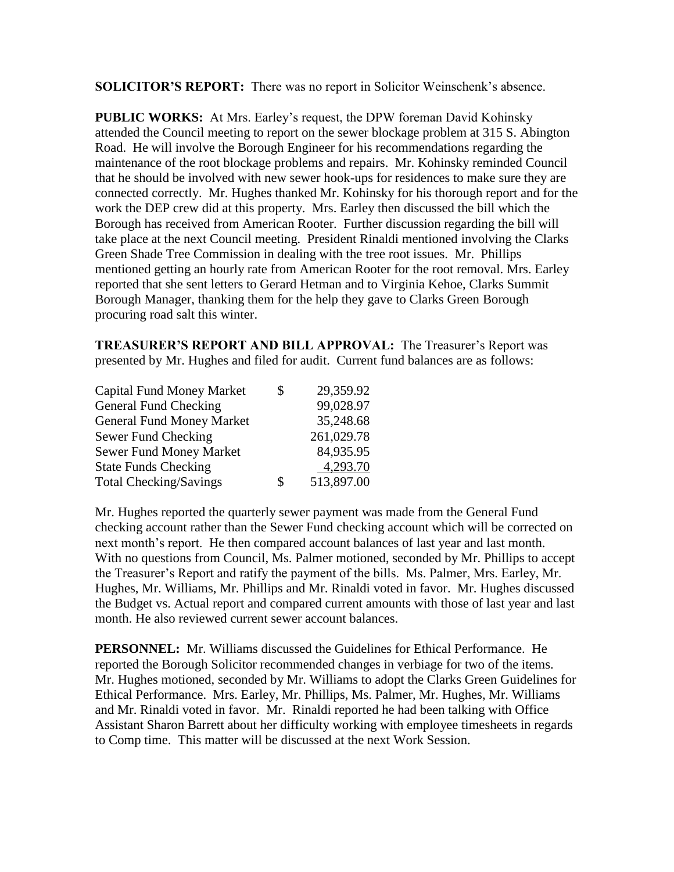**SOLICITOR'S REPORT:** There was no report in Solicitor Weinschenk's absence.

**PUBLIC WORKS:** At Mrs. Earley's request, the DPW foreman David Kohinsky attended the Council meeting to report on the sewer blockage problem at 315 S. Abington Road. He will involve the Borough Engineer for his recommendations regarding the maintenance of the root blockage problems and repairs. Mr. Kohinsky reminded Council that he should be involved with new sewer hook-ups for residences to make sure they are connected correctly. Mr. Hughes thanked Mr. Kohinsky for his thorough report and for the work the DEP crew did at this property. Mrs. Earley then discussed the bill which the Borough has received from American Rooter. Further discussion regarding the bill will take place at the next Council meeting. President Rinaldi mentioned involving the Clarks Green Shade Tree Commission in dealing with the tree root issues. Mr. Phillips mentioned getting an hourly rate from American Rooter for the root removal. Mrs. Earley reported that she sent letters to Gerard Hetman and to Virginia Kehoe, Clarks Summit Borough Manager, thanking them for the help they gave to Clarks Green Borough procuring road salt this winter.

**TREASURER'S REPORT AND BILL APPROVAL:** The Treasurer's Report was presented by Mr. Hughes and filed for audit. Current fund balances are as follows:

| <b>Capital Fund Money Market</b> | \$<br>29,359.92  |
|----------------------------------|------------------|
| General Fund Checking            | 99,028.97        |
| <b>General Fund Money Market</b> | 35,248.68        |
| Sewer Fund Checking              | 261,029.78       |
| <b>Sewer Fund Money Market</b>   | 84,935.95        |
| <b>State Funds Checking</b>      | 4,293.70         |
| <b>Total Checking/Savings</b>    | \$<br>513,897.00 |

Mr. Hughes reported the quarterly sewer payment was made from the General Fund checking account rather than the Sewer Fund checking account which will be corrected on next month's report. He then compared account balances of last year and last month. With no questions from Council, Ms. Palmer motioned, seconded by Mr. Phillips to accept the Treasurer's Report and ratify the payment of the bills. Ms. Palmer, Mrs. Earley, Mr. Hughes, Mr. Williams, Mr. Phillips and Mr. Rinaldi voted in favor. Mr. Hughes discussed the Budget vs. Actual report and compared current amounts with those of last year and last month. He also reviewed current sewer account balances.

**PERSONNEL:** Mr. Williams discussed the Guidelines for Ethical Performance. He reported the Borough Solicitor recommended changes in verbiage for two of the items. Mr. Hughes motioned, seconded by Mr. Williams to adopt the Clarks Green Guidelines for Ethical Performance. Mrs. Earley, Mr. Phillips, Ms. Palmer, Mr. Hughes, Mr. Williams and Mr. Rinaldi voted in favor. Mr. Rinaldi reported he had been talking with Office Assistant Sharon Barrett about her difficulty working with employee timesheets in regards to Comp time. This matter will be discussed at the next Work Session.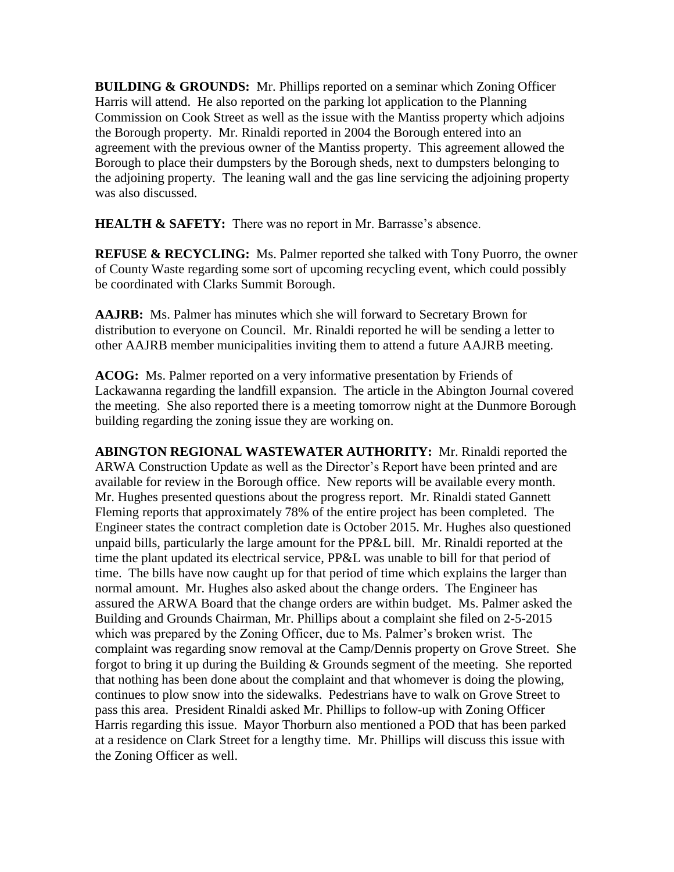**BUILDING & GROUNDS:** Mr. Phillips reported on a seminar which Zoning Officer Harris will attend. He also reported on the parking lot application to the Planning Commission on Cook Street as well as the issue with the Mantiss property which adjoins the Borough property. Mr. Rinaldi reported in 2004 the Borough entered into an agreement with the previous owner of the Mantiss property. This agreement allowed the Borough to place their dumpsters by the Borough sheds, next to dumpsters belonging to the adjoining property. The leaning wall and the gas line servicing the adjoining property was also discussed.

**HEALTH & SAFETY:** There was no report in Mr. Barrasse's absence.

**REFUSE & RECYCLING:** Ms. Palmer reported she talked with Tony Puorro, the owner of County Waste regarding some sort of upcoming recycling event, which could possibly be coordinated with Clarks Summit Borough.

**AAJRB:** Ms. Palmer has minutes which she will forward to Secretary Brown for distribution to everyone on Council. Mr. Rinaldi reported he will be sending a letter to other AAJRB member municipalities inviting them to attend a future AAJRB meeting.

**ACOG:** Ms. Palmer reported on a very informative presentation by Friends of Lackawanna regarding the landfill expansion. The article in the Abington Journal covered the meeting. She also reported there is a meeting tomorrow night at the Dunmore Borough building regarding the zoning issue they are working on.

**ABINGTON REGIONAL WASTEWATER AUTHORITY:** Mr. Rinaldi reported the ARWA Construction Update as well as the Director's Report have been printed and are available for review in the Borough office. New reports will be available every month. Mr. Hughes presented questions about the progress report. Mr. Rinaldi stated Gannett Fleming reports that approximately 78% of the entire project has been completed. The Engineer states the contract completion date is October 2015. Mr. Hughes also questioned unpaid bills, particularly the large amount for the PP&L bill. Mr. Rinaldi reported at the time the plant updated its electrical service, PP&L was unable to bill for that period of time. The bills have now caught up for that period of time which explains the larger than normal amount. Mr. Hughes also asked about the change orders. The Engineer has assured the ARWA Board that the change orders are within budget. Ms. Palmer asked the Building and Grounds Chairman, Mr. Phillips about a complaint she filed on 2-5-2015 which was prepared by the Zoning Officer, due to Ms. Palmer's broken wrist. The complaint was regarding snow removal at the Camp/Dennis property on Grove Street. She forgot to bring it up during the Building & Grounds segment of the meeting. She reported that nothing has been done about the complaint and that whomever is doing the plowing, continues to plow snow into the sidewalks. Pedestrians have to walk on Grove Street to pass this area. President Rinaldi asked Mr. Phillips to follow-up with Zoning Officer Harris regarding this issue. Mayor Thorburn also mentioned a POD that has been parked at a residence on Clark Street for a lengthy time. Mr. Phillips will discuss this issue with the Zoning Officer as well.